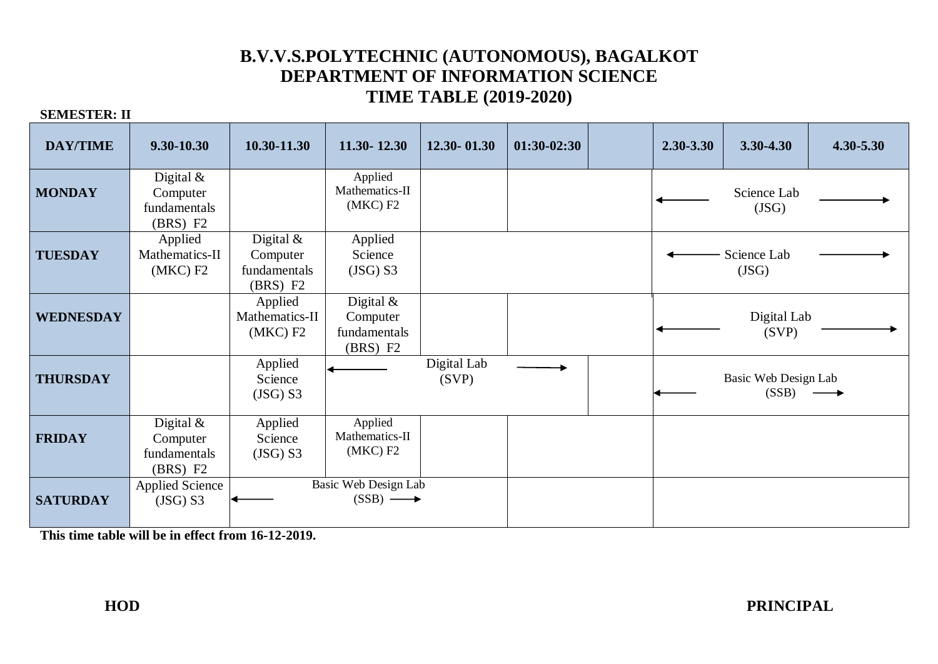# **B.V.V.S.POLYTECHNIC (AUTONOMOUS), BAGALKOT DEPARTMENT OF INFORMATION SCIENCE TIME TABLE (2019-2020)**

#### **SEMESTER: II**

| <b>DAY/TIME</b>  | 9.30-10.30                                          | 10.30-11.30                                         | 11.30 - 12.30                                       | $12.30 - 01.30$      | $01:30-02:30$ | 2.30-3.30 | 3.30-4.30                                       | $4.30 - 5.30$ |
|------------------|-----------------------------------------------------|-----------------------------------------------------|-----------------------------------------------------|----------------------|---------------|-----------|-------------------------------------------------|---------------|
| <b>MONDAY</b>    | Digital $&$<br>Computer<br>fundamentals<br>(BRS) F2 |                                                     | Applied<br>Mathematics-II<br>(MKC) F2               |                      |               |           | Science Lab<br>(JSG)                            |               |
| <b>TUESDAY</b>   | Applied<br>Mathematics-II<br>(MKC) F2               | Digital $&$<br>Computer<br>fundamentals<br>(BRS) F2 | Applied<br>Science<br>$(JSG)$ S3                    |                      |               |           | Science Lab<br>(JSG)                            |               |
| <b>WEDNESDAY</b> |                                                     | Applied<br>Mathematics-II<br>(MKC) F2               | Digital $&$<br>Computer<br>fundamentals<br>(BRS) F2 |                      |               |           | Digital Lab<br>(SVP)                            |               |
| <b>THURSDAY</b>  |                                                     | Applied<br>Science<br>(JSG) S3                      |                                                     | Digital Lab<br>(SVP) |               |           | Basic Web Design Lab<br>$(SSB) \longrightarrow$ |               |
| <b>FRIDAY</b>    | Digital $&$<br>Computer<br>fundamentals<br>(BRS) F2 | Applied<br>Science<br>(JSG) S3                      | Applied<br>Mathematics-II<br>(MKC) F2               |                      |               |           |                                                 |               |
| <b>SATURDAY</b>  | <b>Applied Science</b><br>(JSG) S3                  |                                                     | Basic Web Design Lab<br>$(SSB) \longrightarrow$     |                      |               |           |                                                 |               |

**This time table will be in effect from 16-12-2019.**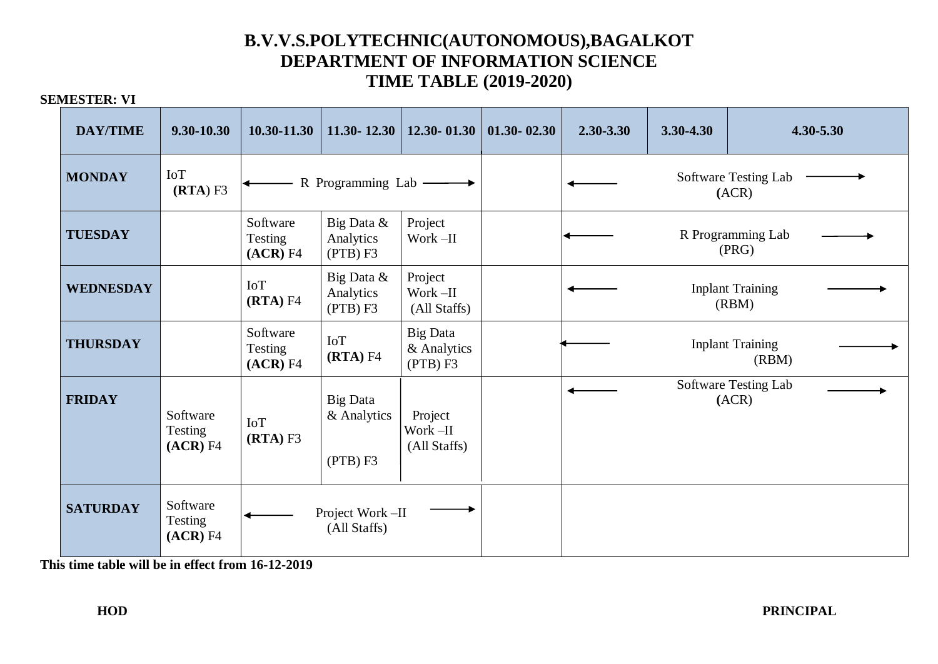## **B.V.V.S.POLYTECHNIC(AUTONOMOUS),BAGALKOT DEPARTMENT OF INFORMATION SCIENCE TIME TABLE (2019-2020)**

### **SEMESTER: VI**

| <b>DAY/TIME</b>  | 9.30-10.30                      | 10.30-11.30                     | $11.30 - 12.30$                            | 12.30 - 01.30                              | $01.30 - 02.30$ | 2.30-3.30                        | 3.30-4.30 | 4.30-5.30                        |  |  |
|------------------|---------------------------------|---------------------------------|--------------------------------------------|--------------------------------------------|-----------------|----------------------------------|-----------|----------------------------------|--|--|
| <b>MONDAY</b>    | <b>IoT</b><br>(RTA) F3          |                                 | R Programming Lab —                        |                                            |                 | Software Testing Lab<br>(ACR)    |           |                                  |  |  |
| <b>TUESDAY</b>   |                                 | Software<br>Testing<br>(ACR) F4 | Big Data &<br>Analytics<br>(PTB) F3        | Project<br>Work-II                         |                 | R Programming Lab<br>(PRG)       |           |                                  |  |  |
| <b>WEDNESDAY</b> |                                 | IoT<br>(RTA) F4                 | Big Data &<br>Analytics<br>(PTB) F3        | Project<br>Work –II<br>(All Staffs)        |                 | <b>Inplant Training</b><br>(RBM) |           |                                  |  |  |
| <b>THURSDAY</b>  |                                 | Software<br>Testing<br>(ACR) F4 | IoT<br>(RTA) F4                            | <b>Big Data</b><br>& Analytics<br>(PTB) F3 |                 |                                  |           | <b>Inplant Training</b><br>(RBM) |  |  |
| <b>FRIDAY</b>    | Software<br>Testing<br>(ACR) F4 | IoT<br>$(RTA)$ F3               | <b>Big Data</b><br>& Analytics<br>(PTB) F3 | Project<br>Work-II<br>(All Staffs)         |                 |                                  |           | Software Testing Lab<br>(ACR)    |  |  |
| <b>SATURDAY</b>  | Software<br>Testing<br>(ACR) F4 |                                 | Project Work-II<br>(All Staffs)            |                                            |                 |                                  |           |                                  |  |  |

**This time table will be in effect from 16-12-2019**